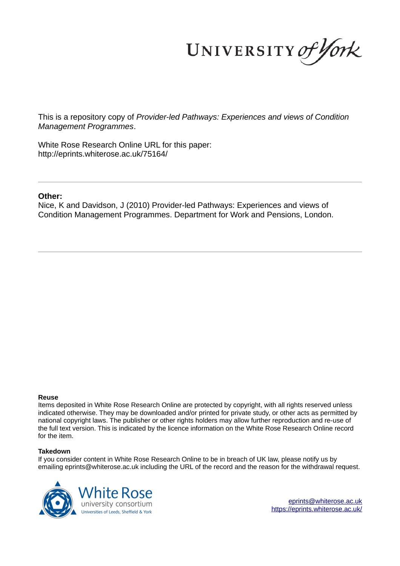UNIVERSITY of York

This is a repository copy of *Provider-led Pathways: Experiences and views of Condition Management Programmes*.

White Rose Research Online URL for this paper: http://eprints.whiterose.ac.uk/75164/

#### **Other:**

Nice, K and Davidson, J (2010) Provider-led Pathways: Experiences and views of Condition Management Programmes. Department for Work and Pensions, London.

#### **Reuse**

Items deposited in White Rose Research Online are protected by copyright, with all rights reserved unless indicated otherwise. They may be downloaded and/or printed for private study, or other acts as permitted by national copyright laws. The publisher or other rights holders may allow further reproduction and re-use of the full text version. This is indicated by the licence information on the White Rose Research Online record for the item.

#### **Takedown**

If you consider content in White Rose Research Online to be in breach of UK law, please notify us by emailing eprints@whiterose.ac.uk including the URL of the record and the reason for the withdrawal request.



eprints@whiterose.ac.uk https://eprints.whiterose.ac.uk/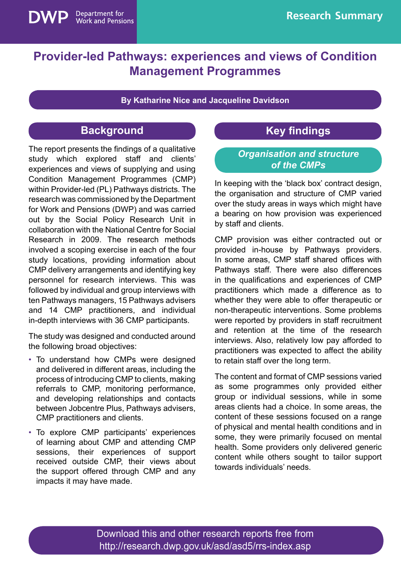

**By Katharine Nice and Jacqueline Davidson** 

# **Background**

Department for<br>Work and Pensions

The report presents the findings of a qualitative study which explored staff and clients' experiences and views of supplying and using Condition Management Programmes (CMP) within Provider-led (PL) Pathways districts. The research was commissioned by the Department for Work and Pensions (DWP) and was carried out by the Social Policy Research Unit in collaboration with the National Centre for Social Research in 2009. The research methods involved a scoping exercise in each of the four study locations, providing information about CMP delivery arrangements and identifying key personnel for research interviews. This was followed by individual and group interviews with ten Pathways managers, 15 Pathways advisers and 14 CMP practitioners, and individual in-depth interviews with 36 CMP participants.

The study was designed and conducted around the following broad objectives:

- To understand how CMPs were designed and delivered in different areas, including the process of introducing CMP to clients, making referrals to CMP, monitoring performance, and developing relationships and contacts between Jobcentre Plus, Pathways advisers, CMP practitioners and clients.
- To explore CMP participants' experiences of learning about CMP and attending CMP sessions, their experiences of support received outside CMP, their views about the support offered through CMP and any impacts it may have made.

# **Key findings**

#### *Organisation and structure of the CMPs*

In keeping with the 'black box' contract design, the organisation and structure of CMP varied over the study areas in ways which might have a bearing on how provision was experienced by staff and clients.

CMP provision was either contracted out or provided in-house by Pathways providers. In some areas, CMP staff shared offices with Pathways staff. There were also differences in the qualifications and experiences of CMP practitioners which made a difference as to whether they were able to offer therapeutic or non-therapeutic interventions. Some problems were reported by providers in staff recruitment and retention at the time of the research interviews. Also, relatively low pay afforded to practitioners was expected to affect the ability to retain staff over the long term.

The content and format of CMP sessions varied as some programmes only provided either group or individual sessions, while in some areas clients had a choice. In some areas, the content of these sessions focused on a range of physical and mental health conditions and in some, they were primarily focused on mental health. Some providers only delivered generic content while others sought to tailor support towards individuals' needs.

Download this and other research reports free from http://research.dwp.gov.uk/asd/asd5/rrs-index.asp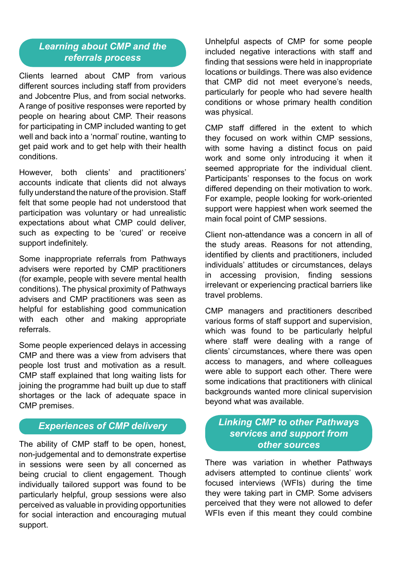### *Learning about CMP and the referrals process*

Clients learned about CMP from various different sources including staff from providers and Jobcentre Plus, and from social networks. A range of positive responses were reported by people on hearing about CMP. Their reasons for participating in CMP included wanting to get well and back into a 'normal' routine, wanting to get paid work and to get help with their health conditions.

However, both clients' and practitioners' accounts indicate that clients did not always fully understand the nature of the provision. Staff felt that some people had not understood that participation was voluntary or had unrealistic expectations about what CMP could deliver, such as expecting to be 'cured' or receive support indefinitely.

Some inappropriate referrals from Pathways advisers were reported by CMP practitioners (for example, people with severe mental health conditions). The physical proximity of Pathways advisers and CMP practitioners was seen as helpful for establishing good communication with each other and making appropriate referrals.

Some people experienced delays in accessing CMP and there was a view from advisers that people lost trust and motivation as a result. CMP staff explained that long waiting lists for joining the programme had built up due to staff shortages or the lack of adequate space in CMP premises.

### *Experiences of CMP delivery*

The ability of CMP staff to be open, honest, non-judgemental and to demonstrate expertise in sessions were seen by all concerned as being crucial to client engagement. Though individually tailored support was found to be particularly helpful, group sessions were also perceived as valuable in providing opportunities for social interaction and encouraging mutual support.

Unhelpful aspects of CMP for some people included negative interactions with staff and finding that sessions were held in inappropriate locations or buildings. There was also evidence that CMP did not meet everyone's needs, particularly for people who had severe health conditions or whose primary health condition was physical.

CMP staff differed in the extent to which they focused on work within CMP sessions, with some having a distinct focus on paid work and some only introducing it when it seemed appropriate for the individual client. Participants' responses to the focus on work differed depending on their motivation to work. For example, people looking for work-oriented support were happiest when work seemed the main focal point of CMP sessions.

Client non-attendance was a concern in all of the study areas. Reasons for not attending, identified by clients and practitioners, included individuals' attitudes or circumstances, delays in accessing provision, finding sessions irrelevant or experiencing practical barriers like travel problems.

CMP managers and practitioners described various forms of staff support and supervision, which was found to be particularly helpful where staff were dealing with a range of clients' circumstances, where there was open access to managers, and where colleagues were able to support each other. There were some indications that practitioners with clinical backgrounds wanted more clinical supervision beyond what was available.

### *Linking CMP to other Pathways services and support from other sources*

There was variation in whether Pathways advisers attempted to continue clients' work focused interviews (WFIs) during the time they were taking part in CMP. Some advisers perceived that they were not allowed to defer WFIs even if this meant they could combine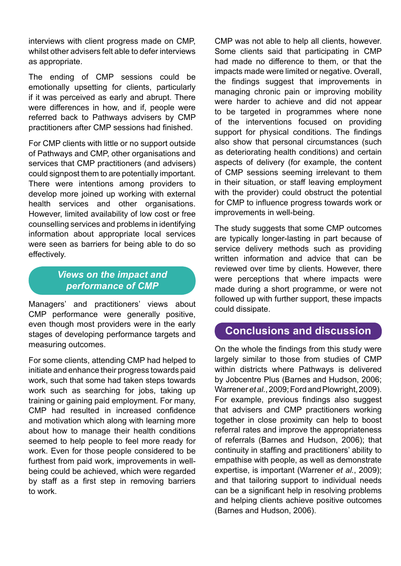interviews with client progress made on CMP, whilst other advisers felt able to defer interviews as appropriate.

The ending of CMP sessions could be emotionally upsetting for clients, particularly if it was perceived as early and abrupt. There were differences in how, and if, people were referred back to Pathways advisers by CMP practitioners after CMP sessions had finished.

For CMP clients with little or no support outside of Pathways and CMP, other organisations and services that CMP practitioners (and advisers) could signpost them to are potentially important. There were intentions among providers to develop more joined up working with external health services and other organisations. However, limited availability of low cost or free counselling services and problems in identifying information about appropriate local services were seen as barriers for being able to do so effectively.

### *Views on the impact and performance of CMP*

Managers' and practitioners' views about CMP performance were generally positive, even though most providers were in the early stages of developing performance targets and measuring outcomes.

For some clients, attending CMP had helped to initiate and enhance their progress towards paid work, such that some had taken steps towards work such as searching for jobs, taking up training or gaining paid employment. For many, CMP had resulted in increased confidence and motivation which along with learning more about how to manage their health conditions seemed to help people to feel more ready for work. Even for those people considered to be furthest from paid work, improvements in wellbeing could be achieved, which were regarded by staff as a first step in removing barriers to work.

CMP was not able to help all clients, however. Some clients said that participating in CMP had made no difference to them, or that the impacts made were limited or negative. Overall, the findings suggest that improvements in managing chronic pain or improving mobility were harder to achieve and did not appear to be targeted in programmes where none of the interventions focused on providing support for physical conditions. The findings also show that personal circumstances (such as deteriorating health conditions) and certain aspects of delivery (for example, the content of CMP sessions seeming irrelevant to them in their situation, or staff leaving employment with the provider) could obstruct the potential for CMP to influence progress towards work or improvements in well-being.

The study suggests that some CMP outcomes are typically longer-lasting in part because of service delivery methods such as providing written information and advice that can be reviewed over time by clients. However, there were perceptions that where impacts were made during a short programme, or were not followed up with further support, these impacts could dissipate.

## **Conclusions and discussion**

On the whole the findings from this study were largely similar to those from studies of CMP within districts where Pathways is delivered by Jobcentre Plus (Barnes and Hudson, 2006; Warrener *et al.*, 2009; Ford and Plowright, 2009). For example, previous findings also suggest that advisers and CMP practitioners working together in close proximity can help to boost referral rates and improve the appropriateness of referrals (Barnes and Hudson, 2006); that continuity in staffing and practitioners' ability to empathise with people, as well as demonstrate expertise, is important (Warrener *et al.*, 2009); and that tailoring support to individual needs can be a significant help in resolving problems and helping clients achieve positive outcomes (Barnes and Hudson, 2006).